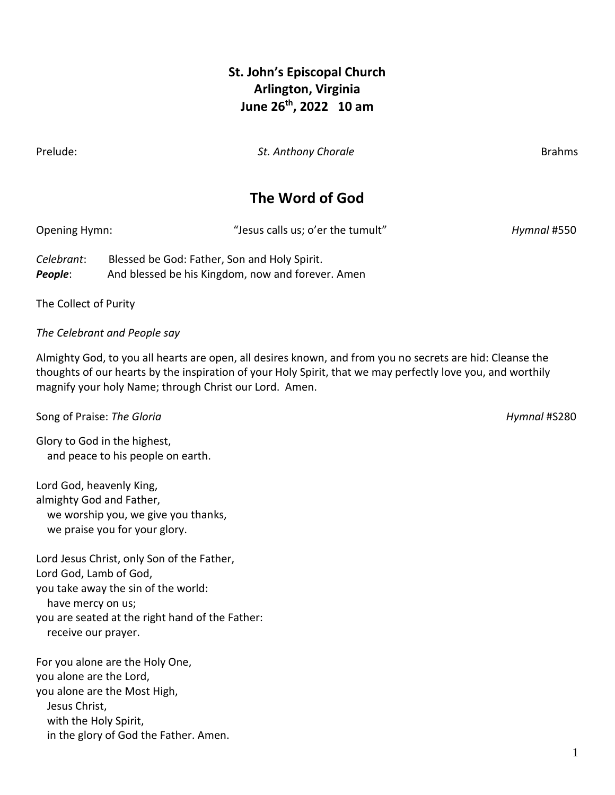### **St. John's Episcopal Church Arlington, Virginia June 26th , 2022 10 am**

Prelude: *St. Anthony Chorale* Brahms

## **The Word of God**

| Opening Hymn: | "Jesus calls us; o'er the tumult"                  | Hymnal #550 |
|---------------|----------------------------------------------------|-------------|
| Colohrant:    | <b>Dloccod bo Cod: Fotbor, Son and Holy Spirit</b> |             |

*Celebrant*: Blessed be God: Father, Son and Holy Spirit. **People:** And blessed be his Kingdom, now and forever. Amen

The Collect of Purity

*The Celebrant and People say* 

Almighty God, to you all hearts are open, all desires known, and from you no secrets are hid: Cleanse the thoughts of our hearts by the inspiration of your Holy Spirit, that we may perfectly love you, and worthily magnify your holy Name; through Christ our Lord. Amen.

Song of Praise: *The Gloria Hymnal* #S280

Glory to God in the highest, and peace to his people on earth.

Lord God, heavenly King, almighty God and Father, we worship you, we give you thanks, we praise you for your glory.

Lord Jesus Christ, only Son of the Father, Lord God, Lamb of God, you take away the sin of the world: have mercy on us; you are seated at the right hand of the Father: receive our prayer.

For you alone are the Holy One, you alone are the Lord, you alone are the Most High, Jesus Christ, with the Holy Spirit, in the glory of God the Father. Amen.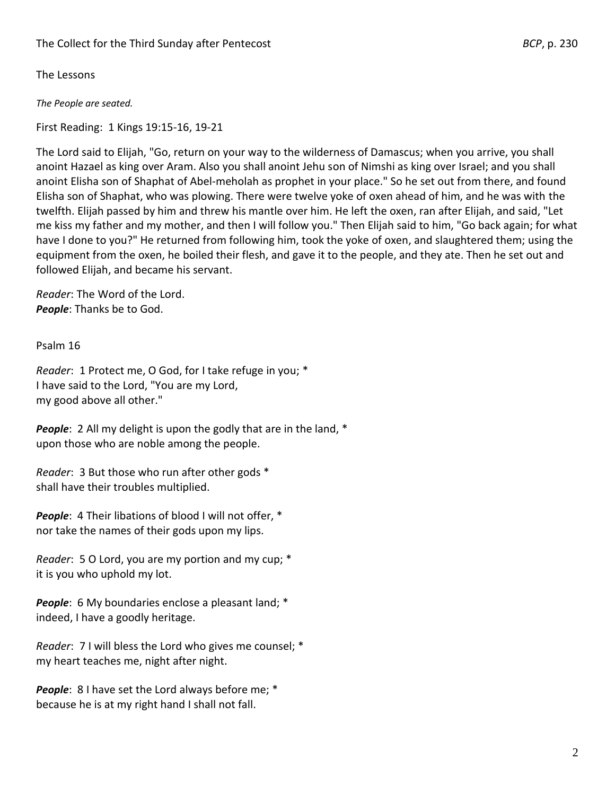The Lessons

*The People are seated.*

First Reading: 1 Kings 19:15-16, 19-21

The Lord said to Elijah, "Go, return on your way to the wilderness of Damascus; when you arrive, you shall anoint Hazael as king over Aram. Also you shall anoint Jehu son of Nimshi as king over Israel; and you shall anoint Elisha son of Shaphat of Abel-meholah as prophet in your place." So he set out from there, and found Elisha son of Shaphat, who was plowing. There were twelve yoke of oxen ahead of him, and he was with the twelfth. Elijah passed by him and threw his mantle over him. He left the oxen, ran after Elijah, and said, "Let me kiss my father and my mother, and then I will follow you." Then Elijah said to him, "Go back again; for what have I done to you?" He returned from following him, took the yoke of oxen, and slaughtered them; using the equipment from the oxen, he boiled their flesh, and gave it to the people, and they ate. Then he set out and followed Elijah, and became his servant.

*Reader*: The Word of the Lord. *People*: Thanks be to God.

Psalm 16

*Reader*: 1 Protect me, O God, for I take refuge in you; \* I have said to the Lord, "You are my Lord, my good above all other."

**People:** 2 All my delight is upon the godly that are in the land, \* upon those who are noble among the people.

*Reader*: 3 But those who run after other gods \* shall have their troubles multiplied.

*People*: 4 Their libations of blood I will not offer, \* nor take the names of their gods upon my lips.

*Reader*: 5 O Lord, you are my portion and my cup; \* it is you who uphold my lot.

*People*: 6 My boundaries enclose a pleasant land; \* indeed, I have a goodly heritage.

*Reader*: 7 I will bless the Lord who gives me counsel; \* my heart teaches me, night after night.

*People*: 8 I have set the Lord always before me; \* because he is at my right hand I shall not fall.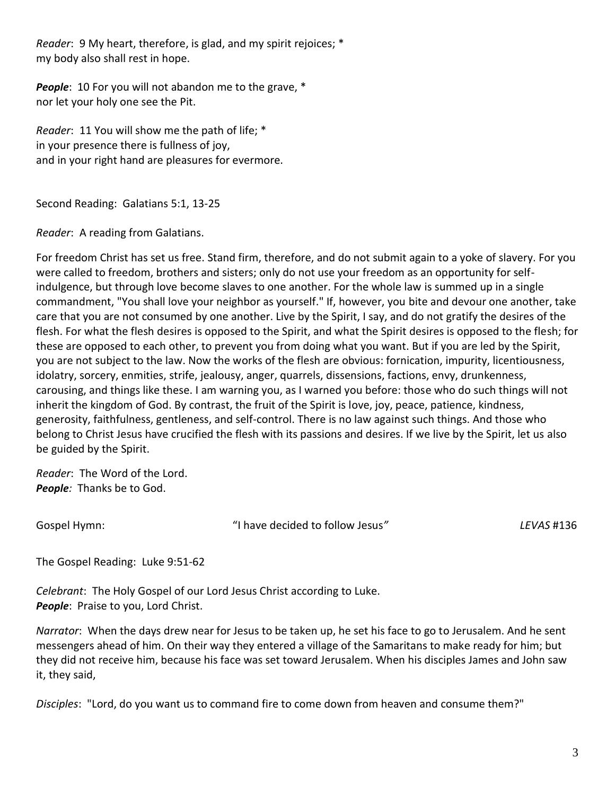*Reader*: 9 My heart, therefore, is glad, and my spirit rejoices; \* my body also shall rest in hope.

**People**: 10 For you will not abandon me to the grave, \* nor let your holy one see the Pit.

*Reader*: 11 You will show me the path of life; \* in your presence there is fullness of joy, and in your right hand are pleasures for evermore.

Second Reading: Galatians 5:1, 13-25

*Reader*: A reading from Galatians.

For freedom Christ has set us free. Stand firm, therefore, and do not submit again to a yoke of slavery. For you were called to freedom, brothers and sisters; only do not use your freedom as an opportunity for selfindulgence, but through love become slaves to one another. For the whole law is summed up in a single commandment, "You shall love your neighbor as yourself." If, however, you bite and devour one another, take care that you are not consumed by one another. Live by the Spirit, I say, and do not gratify the desires of the flesh. For what the flesh desires is opposed to the Spirit, and what the Spirit desires is opposed to the flesh; for these are opposed to each other, to prevent you from doing what you want. But if you are led by the Spirit, you are not subject to the law. Now the works of the flesh are obvious: fornication, impurity, licentiousness, idolatry, sorcery, enmities, strife, jealousy, anger, quarrels, dissensions, factions, envy, drunkenness, carousing, and things like these. I am warning you, as I warned you before: those who do such things will not inherit the kingdom of God. By contrast, the fruit of the Spirit is love, joy, peace, patience, kindness, generosity, faithfulness, gentleness, and self-control. There is no law against such things. And those who belong to Christ Jesus have crucified the flesh with its passions and desires. If we live by the Spirit, let us also be guided by the Spirit.

*Reader*: The Word of the Lord. *People:* Thanks be to God.

Gospel Hymn: "I have decided to follow Jesus*" LEVAS* #136

The Gospel Reading: Luke 9:51-62

*Celebrant*: The Holy Gospel of our Lord Jesus Christ according to Luke. **People:** Praise to you, Lord Christ.

*Narrator*: When the days drew near for Jesus to be taken up, he set his face to go to Jerusalem. And he sent messengers ahead of him. On their way they entered a village of the Samaritans to make ready for him; but they did not receive him, because his face was set toward Jerusalem. When his disciples James and John saw it, they said,

*Disciples*: "Lord, do you want us to command fire to come down from heaven and consume them?"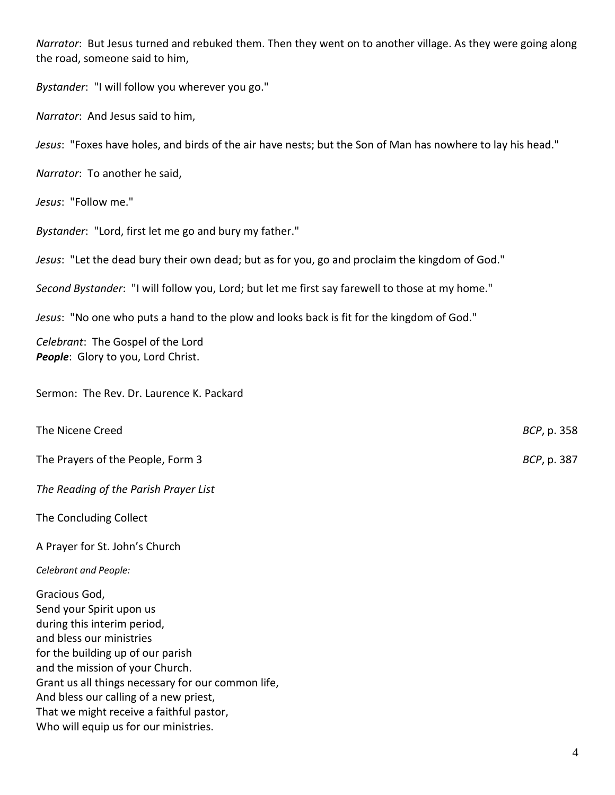*Narrator*: But Jesus turned and rebuked them. Then they went on to another village. As they were going along the road, someone said to him,

*Bystander*: "I will follow you wherever you go."

*Narrator*: And Jesus said to him,

*Jesus*: "Foxes have holes, and birds of the air have nests; but the Son of Man has nowhere to lay his head."

*Narrator*: To another he said,

*Jesus*: "Follow me."

*Bystander*: "Lord, first let me go and bury my father."

*Jesus*: "Let the dead bury their own dead; but as for you, go and proclaim the kingdom of God."

*Second Bystander*: "I will follow you, Lord; but let me first say farewell to those at my home."

*Jesus*: "No one who puts a hand to the plow and looks back is fit for the kingdom of God."

*Celebrant*: The Gospel of the Lord *People*: Glory to you, Lord Christ.

Sermon: The Rev. Dr. Laurence K. Packard

The Nicene Creed **BCP**, p. 358 The Prayers of the People, Form 3 *BCP*, p. 387

*The Reading of the Parish Prayer List* 

The Concluding Collect

A Prayer for St. John's Church

*Celebrant and People:*

Gracious God, Send your Spirit upon us during this interim period, and bless our ministries for the building up of our parish and the mission of your Church. Grant us all things necessary for our common life, And bless our calling of a new priest, That we might receive a faithful pastor, Who will equip us for our ministries.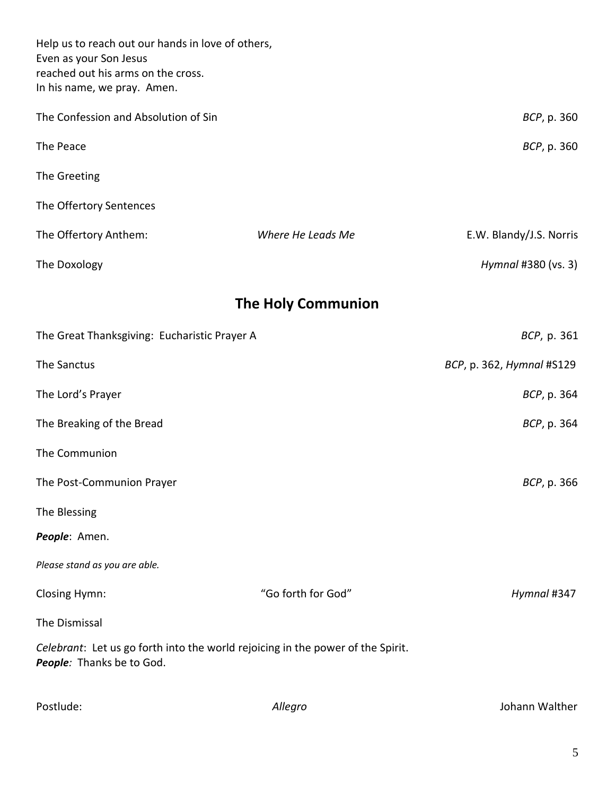| Help us to reach out our hands in love of others,<br>Even as your Son Jesus<br>reached out his arms on the cross.<br>In his name, we pray. Amen. |                     |                           |  |  |
|--------------------------------------------------------------------------------------------------------------------------------------------------|---------------------|---------------------------|--|--|
| The Confession and Absolution of Sin                                                                                                             | BCP, p. 360         |                           |  |  |
| The Peace                                                                                                                                        | <i>BCP</i> , p. 360 |                           |  |  |
| The Greeting                                                                                                                                     |                     |                           |  |  |
| The Offertory Sentences                                                                                                                          |                     |                           |  |  |
| The Offertory Anthem:                                                                                                                            | Where He Leads Me   | E.W. Blandy/J.S. Norris   |  |  |
| The Doxology                                                                                                                                     |                     | Hymnal #380 (vs. 3)       |  |  |
| <b>The Holy Communion</b>                                                                                                                        |                     |                           |  |  |
| The Great Thanksgiving: Eucharistic Prayer A                                                                                                     | BCP, p. 361         |                           |  |  |
| The Sanctus                                                                                                                                      |                     | BCP, p. 362, Hymnal #S129 |  |  |
| The Lord's Prayer                                                                                                                                | BCP, p. 364         |                           |  |  |
| The Breaking of the Bread                                                                                                                        | BCP, p. 364         |                           |  |  |
| The Communion                                                                                                                                    |                     |                           |  |  |
| The Post-Communion Prayer                                                                                                                        | BCP, p. 366         |                           |  |  |
| The Blessing                                                                                                                                     |                     |                           |  |  |
| People: Amen.                                                                                                                                    |                     |                           |  |  |
| Please stand as you are able.                                                                                                                    |                     |                           |  |  |
| Closing Hymn:                                                                                                                                    | "Go forth for God"  | Hymnal #347               |  |  |
| The Dismissal                                                                                                                                    |                     |                           |  |  |
| Celebrant: Let us go forth into the world rejoicing in the power of the Spirit.<br>People: Thanks be to God.                                     |                     |                           |  |  |

Postlude: *Allegro* Johann Walther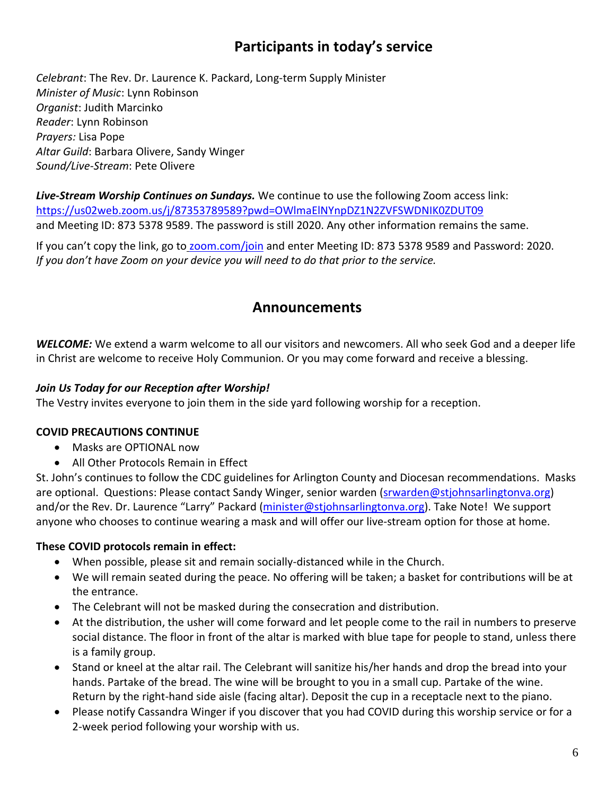# **Participants in today's service**

*Celebrant*: The Rev. Dr. Laurence K. Packard, Long-term Supply Minister *Minister of Music*: Lynn Robinson *Organist*: Judith Marcinko *Reader*: Lynn Robinson *Prayers:* Lisa Pope *Altar Guild*: Barbara Olivere, Sandy Winger *Sound/Live-Stream*: Pete Olivere

*Live-Stream Worship Continues on Sundays.* We continue to use the following Zoom access link: <https://us02web.zoom.us/j/87353789589?pwd=OWlmaElNYnpDZ1N2ZVFSWDNIK0ZDUT09> and Meeting ID: 873 5378 9589. The password is still 2020. Any other information remains the same.

If you can't copy the link, go to [zoom.com/join](mailto:https://zoom.us/join) and enter Meeting ID: 873 5378 9589 and Password: 2020. *If you don't have Zoom on your device you will need to do that prior to the service.*

### **Announcements**

*WELCOME:* We extend a warm welcome to all our visitors and newcomers. All who seek God and a deeper life in Christ are welcome to receive Holy Communion. Or you may come forward and receive a blessing.

#### *Join Us Today for our Reception after Worship!*

The Vestry invites everyone to join them in the side yard following worship for a reception.

### **COVID PRECAUTIONS CONTINUE**

- Masks are OPTIONAL now
- All Other Protocols Remain in Effect

St. John's continues to follow the CDC guidelines for Arlington County and Diocesan recommendations. Masks are optional. Questions: Please contact Sandy Winger, senior warden [\(srwarden@stjohnsarlingtonva.org\)](mailto:srwarden@stjohnsarlingtonva.org) and/or the Rev. Dr. Laurence "Larry" Packard [\(minister@stjohnsarlingtonva.org\)](mailto:minister@stjohnsarlingtonva.org). Take Note! We support anyone who chooses to continue wearing a mask and will offer our live-stream option for those at home.

### **These COVID protocols remain in effect:**

- When possible, please sit and remain socially-distanced while in the Church.
- We will remain seated during the peace. No offering will be taken; a basket for contributions will be at the entrance.
- The Celebrant will not be masked during the consecration and distribution.
- At the distribution, the usher will come forward and let people come to the rail in numbers to preserve social distance. The floor in front of the altar is marked with blue tape for people to stand, unless there is a family group.
- Stand or kneel at the altar rail. The Celebrant will sanitize his/her hands and drop the bread into your hands. Partake of the bread. The wine will be brought to you in a small cup. Partake of the wine. Return by the right-hand side aisle (facing altar). Deposit the cup in a receptacle next to the piano.
- Please notify Cassandra Winger if you discover that you had COVID during this worship service or for a 2-week period following your worship with us.